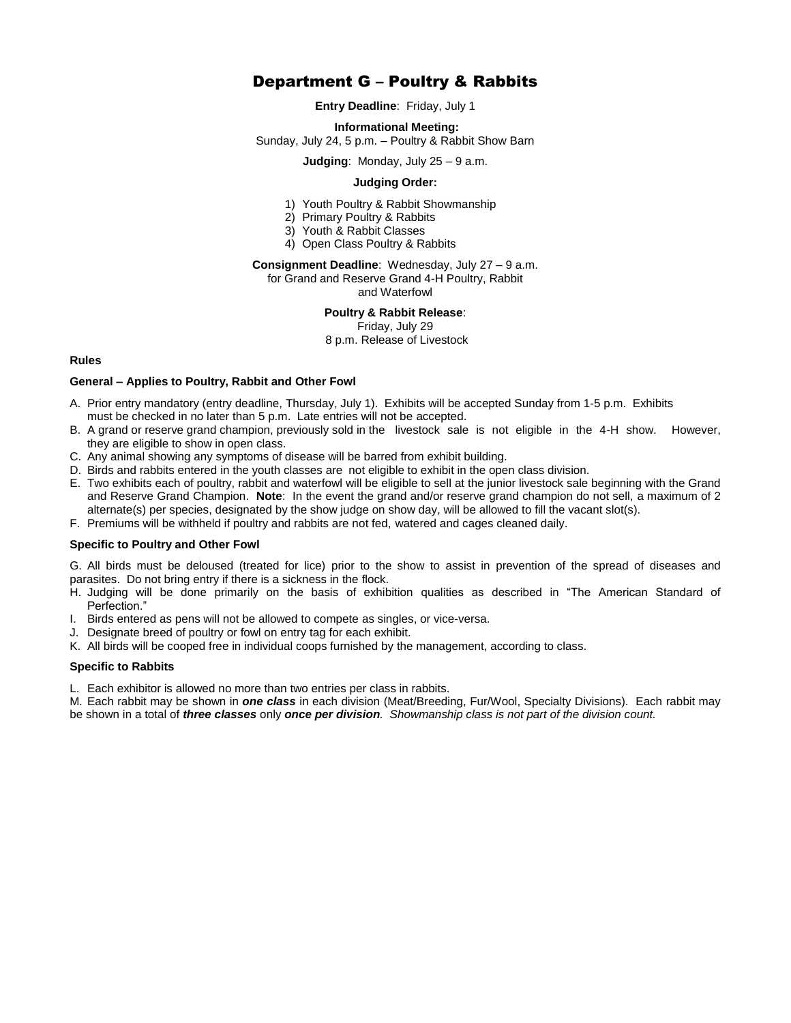# Department G – Poultry & Rabbits

**Entry Deadline**: Friday, July 1

**Informational Meeting:**

Sunday, July 24, 5 p.m. – Poultry & Rabbit Show Barn

**Judging**: Monday, July 25 – 9 a.m.

## **Judging Order:**

- 1) Youth Poultry & Rabbit Showmanship
- 2) Primary Poultry & Rabbits
- 3) Youth & Rabbit Classes
- 4) Open Class Poultry & Rabbits

# **Consignment Deadline**: Wednesday, July 27 – 9 a.m.

for Grand and Reserve Grand 4-H Poultry, Rabbit

and Waterfowl

# **Poultry & Rabbit Release**:

Friday, July 29

8 p.m. Release of Livestock

## **Rules**

## **General – Applies to Poultry, Rabbit and Other Fowl**

- A. Prior entry mandatory (entry deadline, Thursday, July 1). Exhibits will be accepted Sunday from 1-5 p.m. Exhibits must be checked in no later than 5 p.m. Late entries will not be accepted.
- B. A grand or reserve grand champion, previously sold in the livestock sale is not eligible in the 4-H show. However, they are eligible to show in open class.
- C. Any animal showing any symptoms of disease will be barred from exhibit building.
- D. Birds and rabbits entered in the youth classes are not eligible to exhibit in the open class division.
- E. Two exhibits each of poultry, rabbit and waterfowl will be eligible to sell at the junior livestock sale beginning with the Grand and Reserve Grand Champion. **Note**: In the event the grand and/or reserve grand champion do not sell, a maximum of 2 alternate(s) per species, designated by the show judge on show day, will be allowed to fill the vacant slot(s).
- F. Premiums will be withheld if poultry and rabbits are not fed, watered and cages cleaned daily.

# **Specific to Poultry and Other Fowl**

G. All birds must be deloused (treated for lice) prior to the show to assist in prevention of the spread of diseases and parasites. Do not bring entry if there is a sickness in the flock.

- H. Judging will be done primarily on the basis of exhibition qualities as described in "The American Standard of Perfection."
- I. Birds entered as pens will not be allowed to compete as singles, or vice-versa.
- J. Designate breed of poultry or fowl on entry tag for each exhibit.
- K. All birds will be cooped free in individual coops furnished by the management, according to class.

# **Specific to Rabbits**

L. Each exhibitor is allowed no more than two entries per class in rabbits.

M. Each rabbit may be shown in *one class* in each division (Meat/Breeding, Fur/Wool, Specialty Divisions). Each rabbit may be shown in a total of *three classes* only *once per division. Showmanship class is not part of the division count.*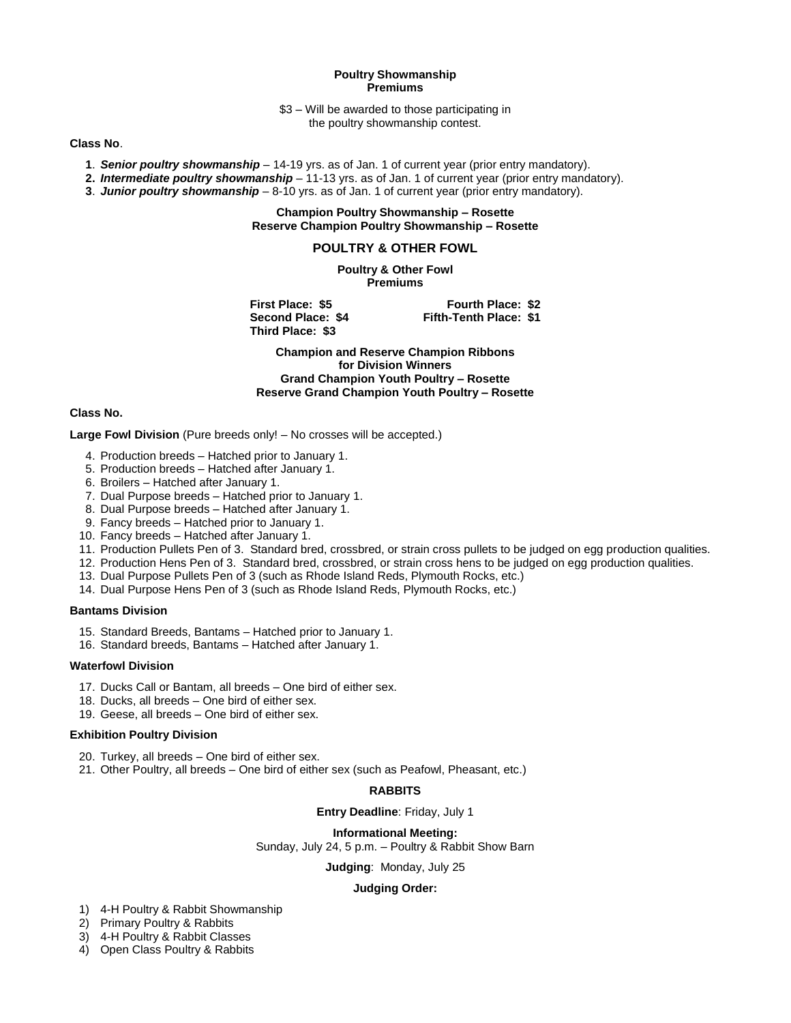#### **Poultry Showmanship Premiums**

\$3 – Will be awarded to those participating in the poultry showmanship contest.

## **Class No**.

- **1**. *Senior poultry showmanship –* 14-19 yrs. as of Jan. 1 of current year (prior entry mandatory).
- **2.** *Intermediate poultry showmanship* 11-13 yrs. as of Jan. 1 of current year (prior entry mandatory).
- **3**. *Junior poultry showmanship* 8-10 yrs. as of Jan. 1 of current year (prior entry mandatory).

## **Champion Poultry Showmanship – Rosette Reserve Champion Poultry Showmanship – Rosette**

# **POULTRY & OTHER FOWL**

**Poultry & Other Fowl Premiums**

**Third Place: \$3**

**First Place: \$5 Fourth Place: \$2 Second Place: \$4 Fifth-Tenth Place: \$1**

**Champion and Reserve Champion Ribbons for Division Winners Grand Champion Youth Poultry – Rosette Reserve Grand Champion Youth Poultry – Rosette**

## **Class No.**

**Large Fowl Division** (Pure breeds only! – No crosses will be accepted.)

- 4. Production breeds Hatched prior to January 1.
- 5. Production breeds Hatched after January 1.
- 6. Broilers Hatched after January 1.
- 7. Dual Purpose breeds Hatched prior to January 1.
- 8. Dual Purpose breeds Hatched after January 1.
- 9. Fancy breeds Hatched prior to January 1.
- 10. Fancy breeds Hatched after January 1.
- 11. Production Pullets Pen of 3. Standard bred, crossbred, or strain cross pullets to be judged on egg production qualities.
- 12. Production Hens Pen of 3. Standard bred, crossbred, or strain cross hens to be judged on egg production qualities.
- 13. Dual Purpose Pullets Pen of 3 (such as Rhode Island Reds, Plymouth Rocks, etc.)
- 14. Dual Purpose Hens Pen of 3 (such as Rhode Island Reds, Plymouth Rocks, etc.)

## **Bantams Division**

- 15. Standard Breeds, Bantams Hatched prior to January 1.
- 16. Standard breeds, Bantams Hatched after January 1.

#### **Waterfowl Division**

- 17. Ducks Call or Bantam, all breeds One bird of either sex.
- 18. Ducks, all breeds One bird of either sex.
- 19. Geese, all breeds One bird of either sex.

#### **Exhibition Poultry Division**

- 20. Turkey, all breeds One bird of either sex.
- 21. Other Poultry, all breeds One bird of either sex (such as Peafowl, Pheasant, etc.)

#### **RABBITS**

**Entry Deadline**: Friday, July 1

#### **Informational Meeting:**

Sunday, July 24, 5 p.m. – Poultry & Rabbit Show Barn

**Judging**: Monday, July 25

#### **Judging Order:**

- 1) 4-H Poultry & Rabbit Showmanship
- 2) Primary Poultry & Rabbits
- 3) 4-H Poultry & Rabbit Classes
- 4) Open Class Poultry & Rabbits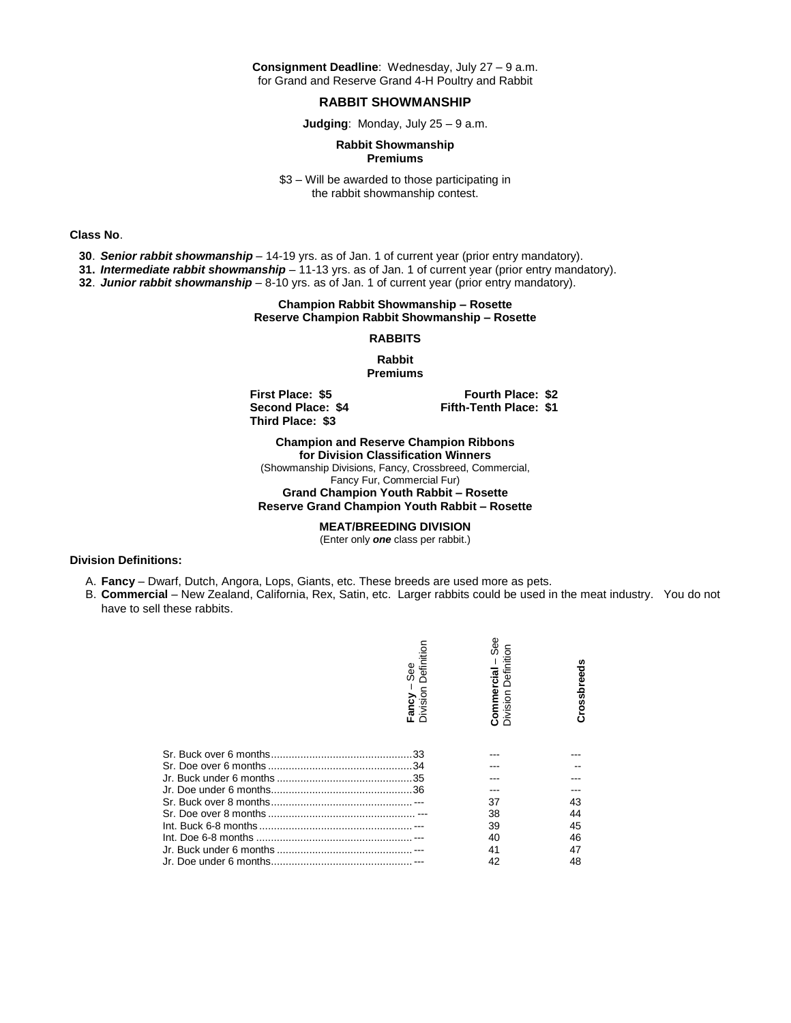**Consignment Deadline**: Wednesday, July 27 – 9 a.m. for Grand and Reserve Grand 4-H Poultry and Rabbit

#### **RABBIT SHOWMANSHIP**

**Judging**: Monday, July 25 – 9 a.m.

#### **Rabbit Showmanship Premiums**

\$3 – Will be awarded to those participating in the rabbit showmanship contest.

**Class No**.

- **30**. *Senior rabbit showmanship –* 14-19 yrs. as of Jan. 1 of current year (prior entry mandatory).
- **31.** *Intermediate rabbit showmanship* 11-13 yrs. as of Jan. 1 of current year (prior entry mandatory).
- **32**. *Junior rabbit showmanship* 8-10 yrs. as of Jan. 1 of current year (prior entry mandatory).

## **Champion Rabbit Showmanship – Rosette Reserve Champion Rabbit Showmanship – Rosette**

#### **RABBITS**

**Rabbit Premiums**

**Third Place: \$3**

**First Place: \$5 Fourth Place: \$2 Second Place: \$4 Fifth-Tenth Place: \$1**

**Champion and Reserve Champion Ribbons for Division Classification Winners** (Showmanship Divisions, Fancy, Crossbreed, Commercial, Fancy Fur, Commercial Fur) **Grand Champion Youth Rabbit – Rosette Reserve Grand Champion Youth Rabbit – Rosette**

**MEAT/BREEDING DIVISION**

(Enter only *one* class per rabbit.)

#### **Division Definitions:**

- A. **Fancy**  Dwarf, Dutch, Angora, Lops, Giants, etc. These breeds are used more as pets.
- B. **Commercial** New Zealand, California, Rex, Satin, etc. Larger rabbits could be used in the meat industry. You do not have to sell these rabbits.

| Definition<br>See<br>Fancy –<br>Division | See<br>Definition<br>Commercial<br>Division | Crossbreeds |
|------------------------------------------|---------------------------------------------|-------------|
|                                          |                                             |             |
|                                          |                                             |             |
|                                          |                                             |             |
|                                          |                                             |             |
|                                          | 37                                          | 43          |
|                                          | 38                                          | 44          |
|                                          | 39                                          | 45          |
|                                          | 40                                          | 46          |
|                                          | 41                                          | 47          |
|                                          | 42                                          | 48          |